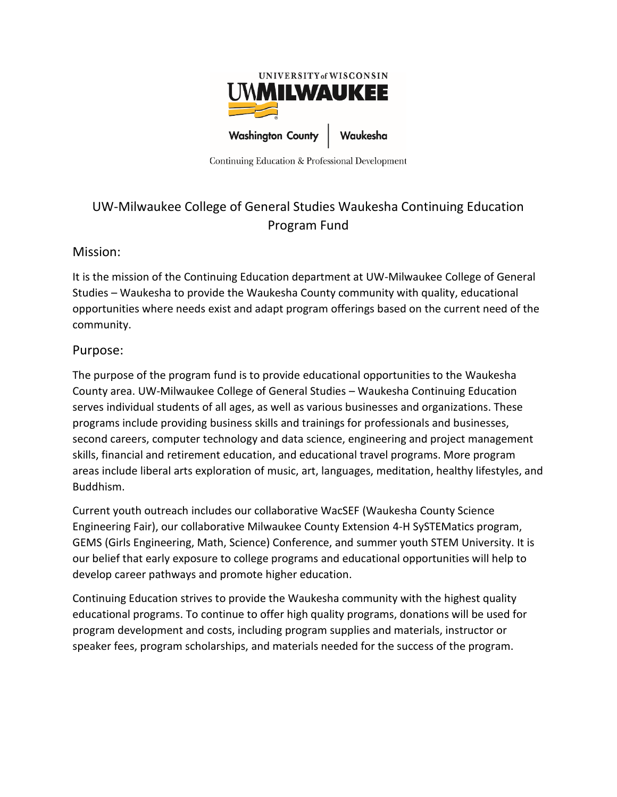

Continuing Education & Professional Development

## UW-Milwaukee College of General Studies Waukesha Continuing Education Program Fund

## Mission:

It is the mission of the Continuing Education department at UW-Milwaukee College of General Studies – Waukesha to provide the Waukesha County community with quality, educational opportunities where needs exist and adapt program offerings based on the current need of the community.

## Purpose:

The purpose of the program fund is to provide educational opportunities to the Waukesha County area. UW-Milwaukee College of General Studies – Waukesha Continuing Education serves individual students of all ages, as well as various businesses and organizations. These programs include providing business skills and trainings for professionals and businesses, second careers, computer technology and data science, engineering and project management skills, financial and retirement education, and educational travel programs. More program areas include liberal arts exploration of music, art, languages, meditation, healthy lifestyles, and Buddhism.

Current youth outreach includes our collaborative WacSEF (Waukesha County Science Engineering Fair), our collaborative Milwaukee County Extension 4-H SySTEMatics program, GEMS (Girls Engineering, Math, Science) Conference, and summer youth STEM University. It is our belief that early exposure to college programs and educational opportunities will help to develop career pathways and promote higher education.

Continuing Education strives to provide the Waukesha community with the highest quality educational programs. To continue to offer high quality programs, donations will be used for program development and costs, including program supplies and materials, instructor or speaker fees, program scholarships, and materials needed for the success of the program.